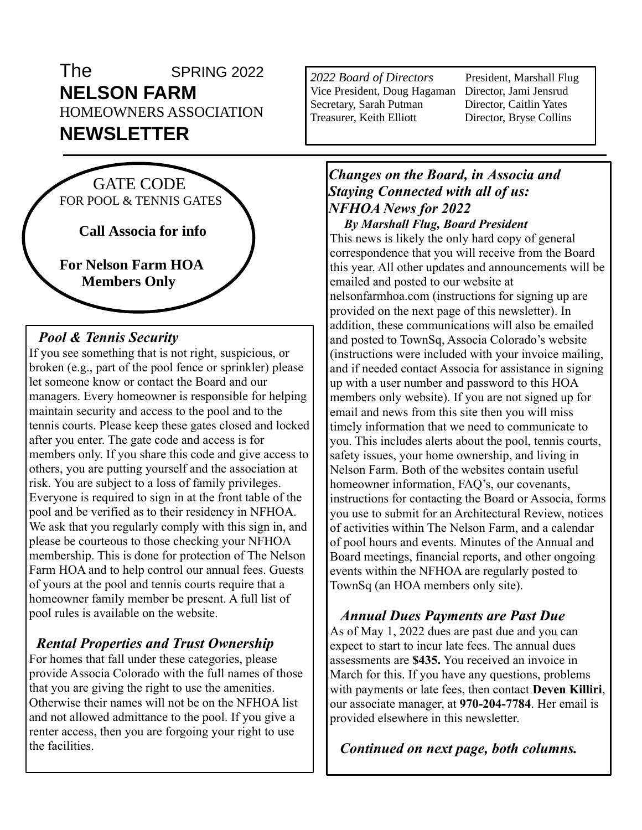# The SPRING 2022 **NELSON FARM** HOMEOWNERS ASSOCIATION **NEWSLETTER**



#### *Pool & Tennis Security*

If you see something that is not right, suspicious, or broken (e.g., part of the pool fence or sprinkler) please let someone know or contact the Board and our managers. Every homeowner is responsible for helping maintain security and access to the pool and to the tennis courts. Please keep these gates closed and locked after you enter. The gate code and access is for members only. If you share this code and give access to others, you are putting yourself and the association at risk. You are subject to a loss of family privileges. Everyone is required to sign in at the front table of the pool and be verified as to their residency in NFHOA. We ask that you regularly comply with this sign in, and please be courteous to those checking your NFHOA membership. This is done for protection of The Nelson Farm HOA and to help control our annual fees. Guests of yours at the pool and tennis courts require that a homeowner family member be present. A full list of pool rules is available on the website.

#### *Rental Properties and Trust Ownership*

For homes that fall under these categories, please provide Associa Colorado with the full names of those that you are giving the right to use the amenities. Otherwise their names will not be on the NFHOA list and not allowed admittance to the pool. If you give a renter access, then you are forgoing your right to use the facilities.

*2022 Board of Directors* President, Marshall Flug Vice President, Doug Hagaman Director, Jami Jensrud Secretary, Sarah Putman Director, Caitlin Yates Treasurer, Keith Elliott Director, Bryse Collins

### *Changes on the Board, in Associa and Staying Connected with all of us: NFHOA News for 2022*

 *By Marshall Flug, Board President* This news is likely the only hard copy of general correspondence that you will receive from the Board this year. All other updates and announcements will be emailed and posted to our website at nelsonfarmhoa.com (instructions for signing up are provided on the next page of this newsletter). In addition, these communications will also be emailed and posted to TownSq, Associa Colorado's website (instructions were included with your invoice mailing, and if needed contact Associa for assistance in signing up with a user number and password to this HOA members only website). If you are not signed up for email and news from this site then you will miss timely information that we need to communicate to you. This includes alerts about the pool, tennis courts, safety issues, your home ownership, and living in Nelson Farm. Both of the websites contain useful homeowner information, FAQ's, our covenants, instructions for contacting the Board or Associa, forms you use to submit for an Architectural Review, notices of activities within The Nelson Farm, and a calendar of pool hours and events. Minutes of the Annual and Board meetings, financial reports, and other ongoing events within the NFHOA are regularly posted to TownSq (an HOA members only site).

# *Annual Dues Payments are Past Due*

As of May 1, 2022 dues are past due and you can expect to start to incur late fees. The annual dues assessments are **\$435.** You received an invoice in March for this. If you have any questions, problems with payments or late fees, then contact **Deven Killiri**, our associate manager, at **970-204-7784**. Her email is provided elsewhere in this newsletter.

*Continued on next page, both columns.*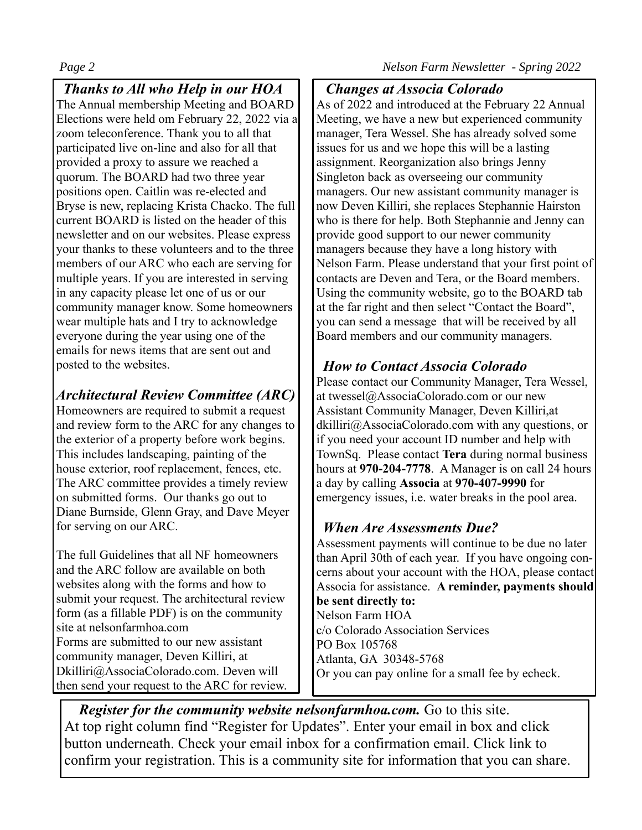*Thanks to All who Help in our HOA* The Annual membership Meeting and BOARD Elections were held om February 22, 2022 via a zoom teleconference. Thank you to all that participated live on-line and also for all that provided a proxy to assure we reached a quorum. The BOARD had two three year positions open. Caitlin was re-elected and Bryse is new, replacing Krista Chacko. The full current BOARD is listed on the header of this newsletter and on our websites. Please express your thanks to these volunteers and to the three members of our ARC who each are serving for multiple years. If you are interested in serving in any capacity please let one of us or our community manager know. Some homeowners wear multiple hats and I try to acknowledge everyone during the year using one of the emails for news items that are sent out and posted to the websites.

# *Architectural Review Committee (ARC)*

Homeowners are required to submit a request and review form to the ARC for any changes to the exterior of a property before work begins. This includes landscaping, painting of the house exterior, roof replacement, fences, etc. The ARC committee provides a timely review on submitted forms. Our thanks go out to Diane Burnside, Glenn Gray, and Dave Meyer for serving on our ARC.

The full Guidelines that all NF homeowners and the ARC follow are available on both websites along with the forms and how to submit your request. The architectural review form (as a fillable PDF) is on the community site at nelsonfarmhoa.com Forms are submitted to our new assistant community manager, Deven Killiri, at Dkilliri@AssociaColorado.com. Deven will then send your request to the ARC for review.

# *Changes at Associa Colorado*

As of 2022 and introduced at the February 22 Annual Meeting, we have a new but experienced community manager, Tera Wessel. She has already solved some issues for us and we hope this will be a lasting assignment. Reorganization also brings Jenny Singleton back as overseeing our community managers. Our new assistant community manager is now Deven Killiri, she replaces Stephannie Hairston who is there for help. Both Stephannie and Jenny can provide good support to our newer community managers because they have a long history with Nelson Farm. Please understand that your first point of contacts are Deven and Tera, or the Board members. Using the community website, go to the BOARD tab at the far right and then select "Contact the Board", you can send a message that will be received by all Board members and our community managers.

### *How to Contact Associa Colorado*

Please contact our Community Manager, Tera Wessel, at twessel@AssociaColorado.com or our new Assistant Community Manager, Deven Killiri,at dkilliri@AssociaColorado.com with any questions, or if you need your account ID number and help with TownSq. Please contact **Tera** during normal business hours at **970-204-7778**. A Manager is on call 24 hours a day by calling **Associa** at **970-407-9990** for emergency issues, i.e. water breaks in the pool area.

# *When Are Assessments Due?*

Assessment payments will continue to be due no later than April 30th of each year. If you have ongoing concerns about your account with the HOA, please contact Associa for assistance. **A reminder, payments should be sent directly to:** Nelson Farm HOA c/o Colorado Association Services PO Box 105768 Atlanta, GA 30348-5768 Or you can pay online for a small fee by echeck.

 *Register for the community website nelsonfarmhoa.com.* Go to this site. At top right column find "Register for Updates". Enter your email in box and click button underneath. Check your email inbox for a confirmation email. Click link to confirm your registration. This is a community site for information that you can share.